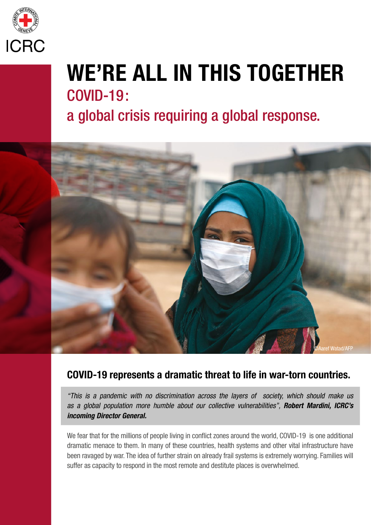

## WE'RE ALL IN THIS TOGETHER COVID-19 : a global crisis requiring a global response.



## COVID-19 represents a dramatic threat to life in war-torn countries.

*"This is a pandemic with no discrimination across the layers of society, which should make us as a global population more humble about our collective vulnerabilities", Robert Mardini, ICRC's incoming Director General.*

We fear that for the millions of people living in conflict zones around the world, COVID-19 is one additional dramatic menace to them. In many of these countries, health systems and other vital infrastructure have been ravaged by war. The idea of further strain on already frail systems is extremely worrying. Families will suffer as capacity to respond in the most remote and destitute places is overwhelmed.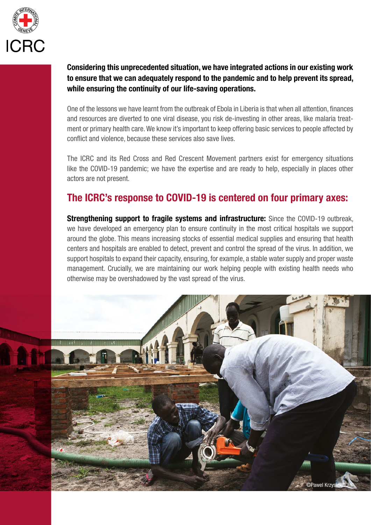

Considering this unprecedented situation, we have integrated actions in our existing work to ensure that we can adequately respond to the pandemic and to help prevent its spread, while ensuring the continuity of our life-saving operations.

One of the lessons we have learnt from the outbreak of Ebola in Liberia is that when all attention, finances and resources are diverted to one viral disease, you risk de-investing in other areas, like malaria treatment or primary health care. We know it's important to keep offering basic services to people affected by conflict and violence, because these services also save lives.

The ICRC and its Red Cross and Red Crescent Movement partners exist for emergency situations like the COVID-19 pandemic; we have the expertise and are ready to help, especially in places other actors are not present.

## The ICRC's response to COVID-19 is centered on four primary axes:

**Strengthening support to fragile systems and infrastructure:** Since the COVID-19 outbreak, we have developed an emergency plan to ensure continuity in the most critical hospitals we support around the globe. This means increasing stocks of essential medical supplies and ensuring that health centers and hospitals are enabled to detect, prevent and control the spread of the virus. In addition, we support hospitals to expand their capacity, ensuring, for example, a stable water supply and proper waste management. Crucially, we are maintaining our work helping people with existing health needs who otherwise may be overshadowed by the vast spread of the virus.

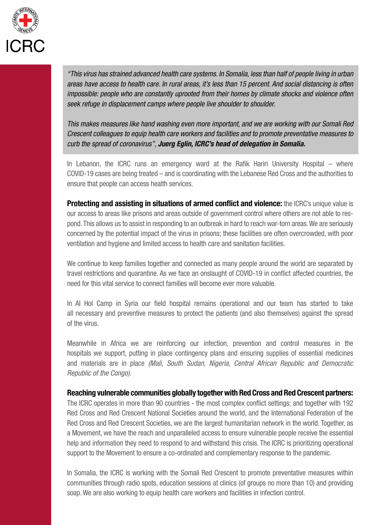

*"This virus has strained advanced health care systems. In Somalia, less than half of people living in urban areas have access to health care. In rural areas, it's less than 15 percent. And social distancing is often impossible: people who are constantly uprooted from their homes by climate shocks and violence often seek refuge in displacement camps where people live shoulder to shoulder.* 

*This makes measures like hand washing even more important, and we are working with our Somali Red Crescent colleagues to equip health care workers and facilities and to promote preventative measures to curb the spread of coronavirus", Juerg Eglin, ICRC's head of delegation in Somalia.*

In Lebanon, the ICRC runs an emergency ward at the Rafik Hariri University Hospital – where COVID-19 cases are being treated – and is coordinating with the Lebanese Red Cross and the authorities to ensure that people can access health services.

**Protecting and assisting in situations of armed conflict and violence:** the ICRC's unique value is our access to areas like prisons and areas outside of government control where others are not able to respond. This allows us to assist in responding to an outbreak in hard to reach war-torn areas. We are seriously concerned by the potential impact of the virus in prisons; these facilities are often overcrowded, with poor ventilation and hygiene and limited access to health care and sanitation facilities.

We continue to keep families together and connected as many people around the world are separated by travel restrictions and quarantine. As we face an onslaught of COVID-19 in conflict affected countries, the need for this vital service to connect families will become ever more valuable.

In Al Hol Camp in Syria our field hospital remains operational and our team has started to take all necessary and preventive measures to protect the patients (and also themselves) against the spread of the virus.

Meanwhile in Africa we are reinforcing our infection, prevention and control measures in the hospitals we support, putting in place contingency plans and ensuring supplies of essential medicines and materials are in place *(Mali, South Sudan, Nigeria, Central African Republic and Democratic Republic of the Congo).*

Reaching vulnerable communities globally together with Red Cross and Red Crescent partners: The ICRC operates in more than 90 countries - the most complex conflict settings; and together with 192 Red Cross and Red Crescent National Societies around the world, and the International Federation of the Red Cross and Red Crescent Societies, we are the largest humanitarian network in the world. Together, as a Movement, we have the reach and unparalleled access to ensure vulnerable people receive the essential help and information they need to respond to and withstand this crisis. The ICRC is prioritizing operational support to the Movement to ensure a co-ordinated and complementary response to the pandemic.

In Somalia, the ICRC is working with the Somali Red Crescent to promote preventative measures within communities through radio spots, education sessions at clinics (of groups no more than 10) and providing soap. We are also working to equip health care workers and facilities in infection control.